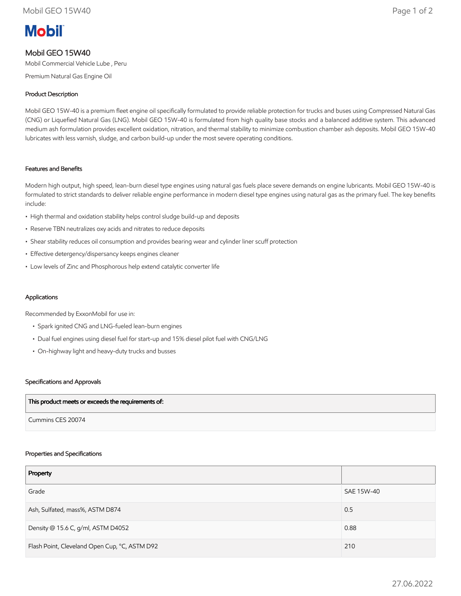# **Mobil**

## Mobil GEO 15W40

Mobil Commercial Vehicle Lube , Peru

Premium Natural Gas Engine Oil

### Product Description

Mobil GEO 15W-40 is a premium fleet engine oil specifically formulated to provide reliable protection for trucks and buses using Compressed Natural Gas (CNG) or Liquefied Natural Gas (LNG). Mobil GEO 15W-40 is formulated from high quality base stocks and a balanced additive system. This advanced medium ash formulation provides excellent oxidation, nitration, and thermal stability to minimize combustion chamber ash deposits. Mobil GEO 15W-40 lubricates with less varnish, sludge, and carbon build-up under the most severe operating conditions.

#### Features and Benefits

Modern high output, high speed, lean-burn diesel type engines using natural gas fuels place severe demands on engine lubricants. Mobil GEO 15W-40 is formulated to strict standards to deliver reliable engine performance in modern diesel type engines using natural gas as the primary fuel. The key benefits include:

- High thermal and oxidation stability helps control sludge build-up and deposits
- Reserve TBN neutralizes oxy acids and nitrates to reduce deposits
- Shear stability reduces oil consumption and provides bearing wear and cylinder liner scuff protection
- Effective detergency/dispersancy keeps engines cleaner
- Low levels of Zinc and Phosphorous help extend catalytic converter life

#### Applications

Recommended by ExxonMobil for use in:

- Spark ignited CNG and LNG-fueled lean-burn engines
- Dual fuel engines using diesel fuel for start-up and 15% diesel pilot fuel with CNG/LNG
- On-highway light and heavy-duty trucks and busses

#### Specifications and Approvals

| This product meets or exceeds the requirements of: |  |
|----------------------------------------------------|--|
| Cummins CES 20074                                  |  |

#### Properties and Specifications

| Property                                      |            |
|-----------------------------------------------|------------|
| Grade                                         | SAE 15W-40 |
| Ash, Sulfated, mass%, ASTM D874               | 0.5        |
| Density @ 15.6 C, g/ml, ASTM D4052            | 0.88       |
| Flash Point, Cleveland Open Cup, °C, ASTM D92 | 210        |